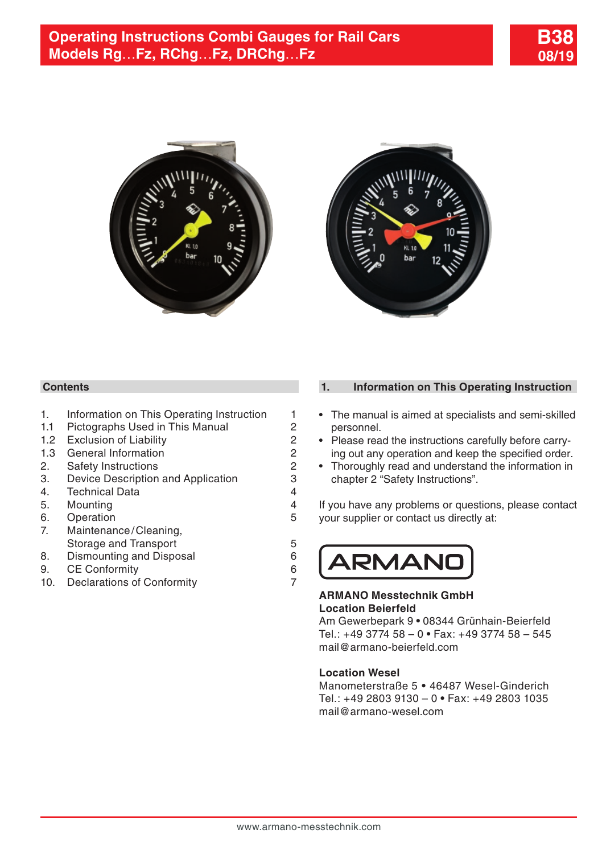





## **Contents**

- 1. Information on This Operating Instruction 1
- 1.1 [Pictographs Used in This Manual](#page-1-0) 2<br>1.2 Exclusion of Liability 2
- [1.2 Exclusion of Liability](#page-1-0) 2<br>1.3 General Information 2
- [1.3 General Information](#page-1-0) 1.3 Ceneral Information 1.1 (1976)<br>2. Safety Instructions 1.1 (1976)
- 
- 2. [Safety Instructions](#page-1-0) 2<br>3. Device Description and Application 3 3. [Device Description and Application](#page-2-0)
- 4. [Technical Data](#page-3-0) 4
- 5. [Mounting](#page-3-0) 4
- 
- 6. [Operation](#page-4-0) 5<br>7 Maintenance/Cleaning. Maintenance/Cleaning, [Storage and Transport](#page-4-0) 6<br>Dismounting and Disposal 6
- 8. [Dismounting and Disposal](#page-5-0) 6<br>9. CE Conformity 6
- 9. [CE Conformity](#page-5-0)
- 10. [Declarations of Conformity](#page-6-0) 7

## **1. Information on This Operating Instruction**

- The manual is aimed at specialists and semi-skilled personnel.
- Please read the instructions carefully before carrying out any operation and keep the specified order.
- Thoroughly read and understand the information in chapter 2 "Safety Instructions".

If you have any problems or questions, please contact your supplier or contact us directly at:



#### **ARMANO Messtechnik GmbH Location Beierfeld**

Am Gewerbepark 9 **•** 08344 Grünhain-Beierfeld Tel.: +49 3774 58 – 0 **•** Fax: +49 3774 58 – 545 mail@armano-beierfeld.com

#### **Location Wesel**

Manometerstraße 5 **•** 46487 Wesel-Ginderich Tel.: +49 2803 9130 – 0 **•** Fax: +49 2803 1035 mail@armano-wesel.com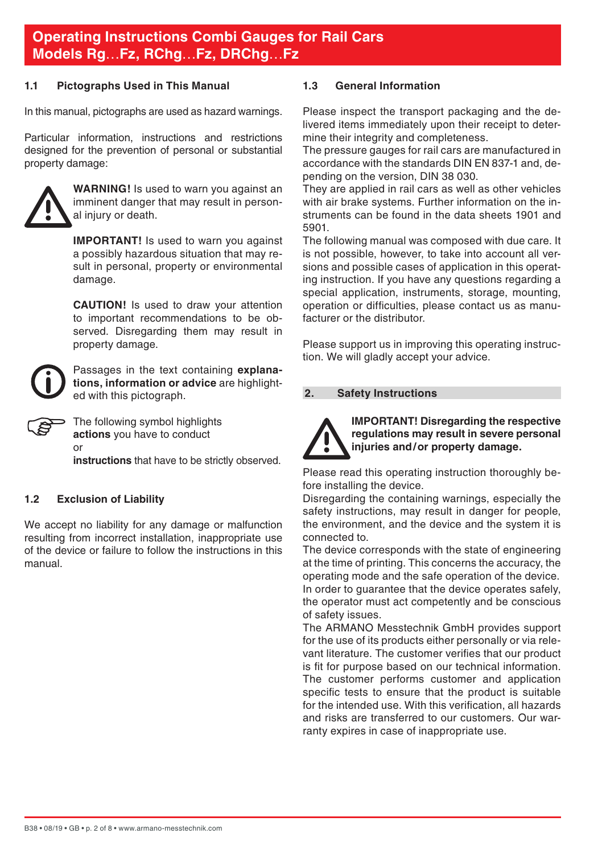#### <span id="page-1-0"></span>**1.1 Pictographs Used in This Manual**

In this manual, pictographs are used as hazard warnings.

Particular information, instructions and restrictions designed for the prevention of personal or substantial property damage:



**WARNING!** Is used to warn you against an imminent danger that may result in personal injury or death.

**IMPORTANT!** Is used to warn you against a possibly hazardous situation that may result in personal, property or environmental damage.

 **CAUTION!** Is used to draw your attention to important recommendations to be observed. Disregarding them may result in property damage.

Passages in the text containing **explanations, information or advice** are highlighted with this pictograph.



The following symbol highlights **actions** you have to conduct or

**instructions** that have to be strictly observed.

### **1.2 Exclusion of Liability**

We accept no liability for any damage or malfunction resulting from incorrect installation, inappropriate use of the device or failure to follow the instructions in this manual.

#### **1.3 General Information**

Please inspect the transport packaging and the delivered items immediately upon their receipt to determine their integrity and completeness.

The pressure gauges for rail cars are manufactured in accordance with the standards DIN EN 837-1 and, depending on the version, DIN 38 030.

They are applied in rail cars as well as other vehicles with air brake systems. Further information on the instruments can be found in the data sheets 1901 and 5901.

The following manual was composed with due care. It is not possible, however, to take into account all versions and possible cases of application in this operating instruction. If you have any questions regarding a special application, instruments, storage, mounting, operation or difficulties, please contact us as manufacturer or the distributor.

Please support us in improving this operating instruction. We will gladly accept your advice.

#### **2. Safety Instructions**



**IMPORTANT! Disregarding the respective regulations may result in severe personal injuries and/or property damage.**

Please read this operating instruction thoroughly before installing the device.

Disregarding the containing warnings, especially the safety instructions, may result in danger for people, the environment, and the device and the system it is connected to.

The device corresponds with the state of engineering at the time of printing. This concerns the accuracy, the operating mode and the safe operation of the device. In order to guarantee that the device operates safely, the operator must act competently and be conscious of safety issues.

The ARMANO Messtechnik GmbH provides support for the use of its products either personally or via relevant literature. The customer verifies that our product is fit for purpose based on our technical information. The customer performs customer and application specific tests to ensure that the product is suitable for the intended use. With this verification, all hazards and risks are transferred to our customers. Our warranty expires in case of inappropriate use.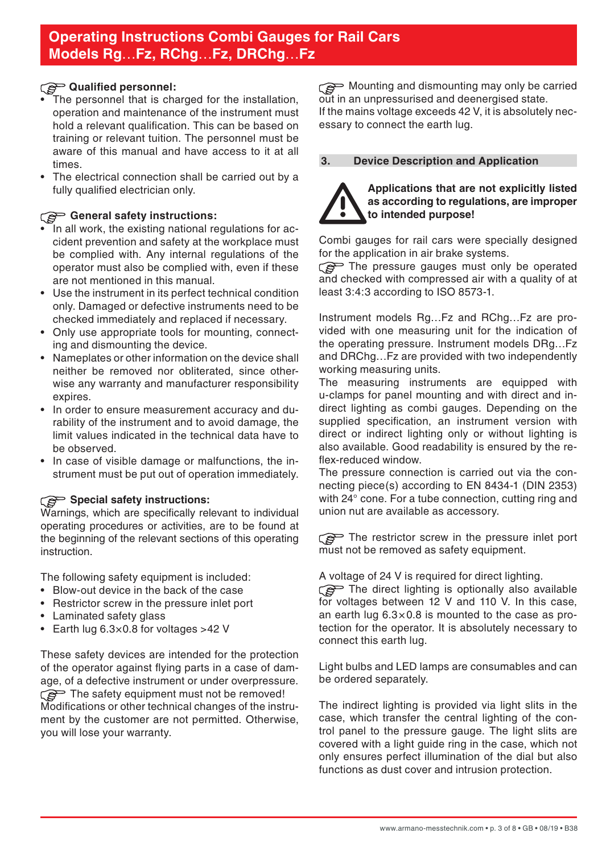## <span id="page-2-0"></span>**Qualified personnel:**

- The personnel that is charged for the installation, operation and maintenance of the instrument must hold a relevant qualification. This can be based on training or relevant tuition. The personnel must be aware of this manual and have access to it at all timos
- The electrical connection shall be carried out by a fully qualified electrician only.

## **General safety instructions:**

- $\tilde{\phantom{a}}$  In all work, the existing national regulations for accident prevention and safety at the workplace must be complied with. Any internal regulations of the operator must also be complied with, even if these are not mentioned in this manual.
- Use the instrument in its perfect technical condition only. Damaged or defective instruments need to be checked immediately and replaced if necessary.
- Only use appropriate tools for mounting, connecting and dismounting the device.
- Nameplates or other information on the device shall neither be removed nor obliterated, since otherwise any warranty and manufacturer responsibility expires.
- In order to ensure measurement accuracy and durability of the instrument and to avoid damage, the limit values indicated in the technical data have to be observed.
- In case of visible damage or malfunctions, the instrument must be put out of operation immediately.

## **Special safety instructions:**

Warnings, which are specifically relevant to individual operating procedures or activities, are to be found at the beginning of the relevant sections of this operating instruction.

The following safety equipment is included:

- Blow-out device in the back of the case
- Restrictor screw in the pressure inlet port
- Laminated safety glass
- Earth lug 6.3×0.8 for voltages >42 V

These safety devices are intended for the protection of the operator against flying parts in a case of damage, of a defective instrument or under overpressure. The safety equipment must not be removed! Modifications or other technical changes of the instrument by the customer are not permitted. Otherwise, you will lose your warranty.

Mounting and dismounting may only be carried out in an unpressurised and deenergised state. If the mains voltage exceeds 42 V, it is absolutely necessary to connect the earth lug.

## **3. Device Description and Application**



#### **Applications that are not explicitly listed as according to regulations, are improper to intended purpose!**

Combi gauges for rail cars were specially designed for the application in air brake systems.

The pressure gauges must only be operated and checked with compressed air with a quality of at least 3:4:3 according to ISO 8573-1.

Instrument models Rg…Fz and RChg…Fz are provided with one measuring unit for the indication of the operating pressure. Instrument models DRg…Fz and DRChg…Fz are provided with two independently working measuring units.

The measuring instruments are equipped with u-clamps for panel mounting and with direct and indirect lighting as combi gauges. Depending on the supplied specification, an instrument version with direct or indirect lighting only or without lighting is also available. Good readability is ensured by the reflex-reduced window.

The pressure connection is carried out via the connecting piece(s) according to EN 8434-1 (DIN 2353) with 24° cone. For a tube connection, cutting ring and union nut are available as accessory.

The restrictor screw in the pressure inlet port must not be removed as safety equipment.

A voltage of 24 V is required for direct lighting.

The direct lighting is optionally also available for voltages between 12 V and 110 V. In this case, an earth lug  $6.3 \times 0.8$  is mounted to the case as protection for the operator. It is absolutely necessary to connect this earth lug.

Light bulbs and LED lamps are consumables and can be ordered separately.

The indirect lighting is provided via light slits in the case, which transfer the central lighting of the control panel to the pressure gauge. The light slits are covered with a light guide ring in the case, which not only ensures perfect illumination of the dial but also functions as dust cover and intrusion protection.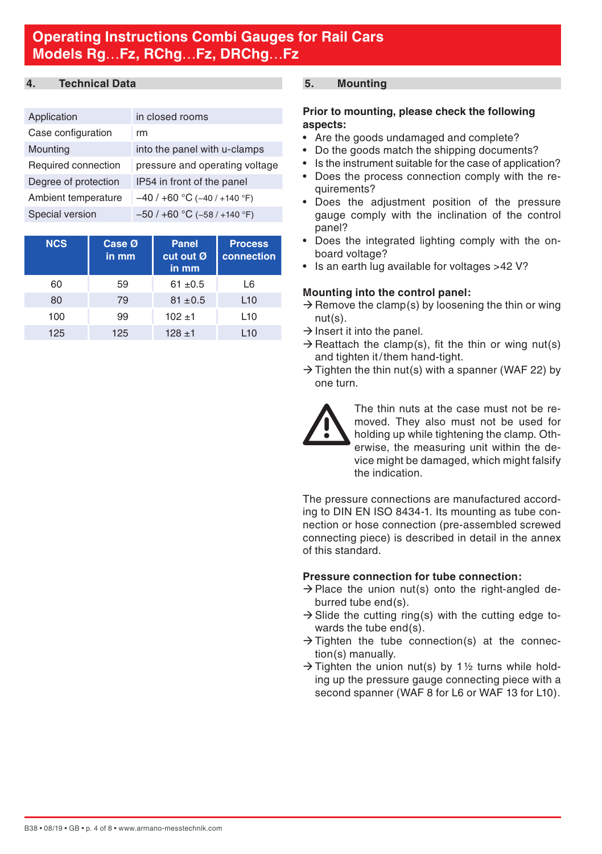## <span id="page-3-0"></span>**4. Technical Data**

| Application          | in closed rooms                |
|----------------------|--------------------------------|
| Case configuration   | rm                             |
| Mounting             | into the panel with u-clamps   |
| Required connection  | pressure and operating voltage |
| Degree of protection | IP54 in front of the panel     |
| Ambient temperature  | $-40/+60$ °C (-40/+140 °F)     |
| Special version      | $-50/+60$ °C ( $-58/+140$ °F)  |

| <b>NCS</b> | Case Ø<br>in mm | Panel<br>cut out Ø<br>in mm | <b>Process</b><br>connection |
|------------|-----------------|-----------------------------|------------------------------|
| 60         | 59              | $61 + 0.5$                  | L6                           |
| 80         | 79              | $81 \pm 0.5$                | L10                          |
| 100        | 99              | $102 + 1$                   | L10                          |
| 125        | 125             | $128 + 1$                   | L10                          |

### **5. Mounting**

#### **Prior to mounting, please check the following aspects:**

- Are the goods undamaged and complete?
- Do the goods match the shipping documents?
- Is the instrument suitable for the case of application?
- Does the process connection comply with the requirements?
- Does the adjustment position of the pressure gauge comply with the inclination of the control panel?
- Does the integrated lighting comply with the onboard voltage?
- Is an earth lug available for voltages >42 V?

### **Mounting into the control panel:**

- $\rightarrow$  Remove the clamp(s) by loosening the thin or wing nut(s).
- $\rightarrow$  Insert it into the panel.
- $\rightarrow$  Reattach the clamp(s), fit the thin or wing nut(s) and tighten it/them hand-tight.
- $\rightarrow$  Tighten the thin nut(s) with a spanner (WAF 22) by one turn.



 The thin nuts at the case must not be removed. They also must not be used for holding up while tightening the clamp. Otherwise, the measuring unit within the device might be damaged, which might falsify the indication.

The pressure connections are manufactured according to DIN EN ISO 8434-1. Its mounting as tube connection or hose connection (pre-assembled screwed connecting piece) is described in detail in the annex of this standard.

## **Pressure connection for tube connection:**

- $\rightarrow$  Place the union nut(s) onto the right-angled deburred tube end(s).
- $\rightarrow$  Slide the cutting ring(s) with the cutting edge towards the tube end(s).
- $\rightarrow$  Tighten the tube connection(s) at the connection(s) manually.
- $\rightarrow$  Tighten the union nut(s) by 1½ turns while holding up the pressure gauge connecting piece with a second spanner (WAF 8 for L6 or WAF 13 for L10).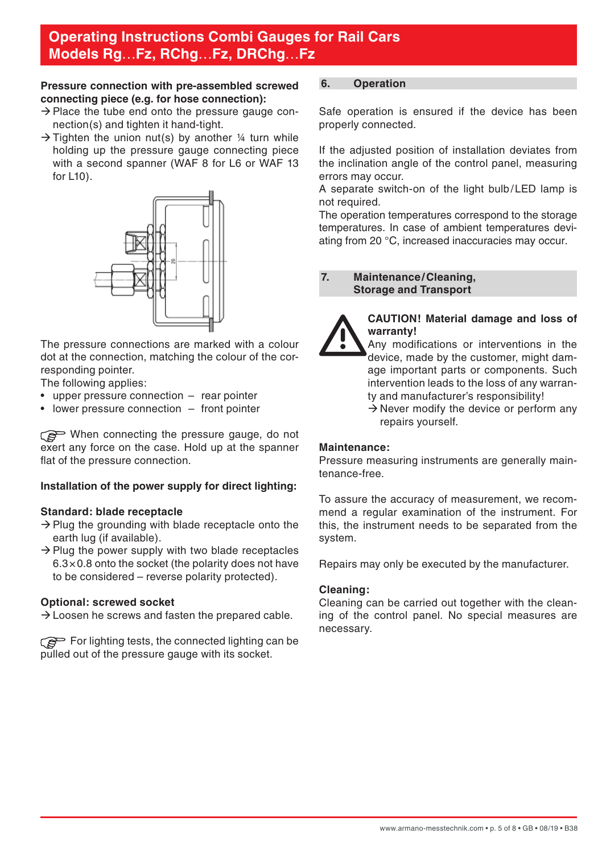### <span id="page-4-0"></span>**Pressure connection with pre-assembled screwed connecting piece (e.g. for hose connection):**

- $\rightarrow$  Place the tube end onto the pressure gauge connection(s) and tighten it hand-tight.
- $\rightarrow$  Tighten the union nut(s) by another 1/4 turn while holding up the pressure gauge connecting piece with a second spanner (WAF 8 for L6 or WAF 13 for L10).



The pressure connections are marked with a colour dot at the connection, matching the colour of the corresponding pointer.

The following applies:

- upper pressure connection rear pointer
- lower pressure connection front pointer

When connecting the pressure gauge, do not exert any force on the case. Hold up at the spanner flat of the pressure connection.

### **Installation of the power supply for direct lighting:**

### **Standard: blade receptacle**

- $\rightarrow$  Plug the grounding with blade receptacle onto the earth lug (if available).
- $\rightarrow$  Plug the power supply with two blade receptacles  $6.3\times0.8$  onto the socket (the polarity does not have to be considered – reverse polarity protected).

### **Optional: screwed socket**

 $\rightarrow$  Loosen he screws and fasten the prepared cable.

For lighting tests, the connected lighting can be pulled out of the pressure gauge with its socket.

#### **6. Operation**

Safe operation is ensured if the device has been properly connected.

If the adjusted position of installation deviates from the inclination angle of the control panel, measuring errors may occur.

A separate switch-on of the light bulb/LED lamp is not required.

The operation temperatures correspond to the storage temperatures. In case of ambient temperatures deviating from 20 °C, increased inaccuracies may occur.

### **7. Maintenance/Cleaning, Storage and Transport**



#### **CAUTION! Material damage and loss of warranty!**

- Any modifications or interventions in the device, made by the customer, might damage important parts or components. Such intervention leads to the loss of any warranty and manufacturer's responsibility!
- $\rightarrow$  Never modify the device or perform any repairs yourself.

#### **Maintenance:**

Pressure measuring instruments are generally maintenance-free.

To assure the accuracy of measurement, we recommend a regular examination of the instrument. For this, the instrument needs to be separated from the system.

Repairs may only be executed by the manufacturer.

#### **Cleaning:**

Cleaning can be carried out together with the cleaning of the control panel. No special measures are necessary.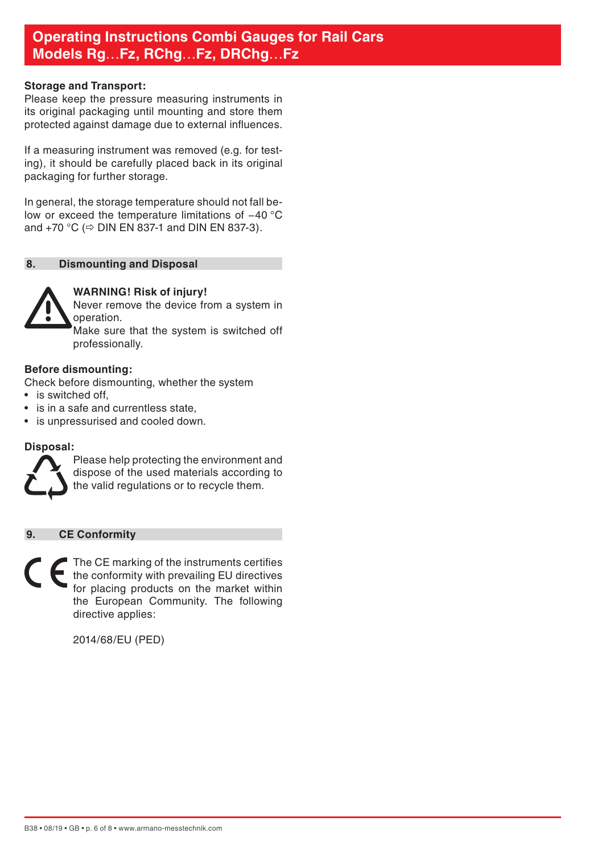#### <span id="page-5-0"></span>**Storage and Transport:**

Please keep the pressure measuring instruments in its original packaging until mounting and store them protected against damage due to external influences.

If a measuring instrument was removed (e.g. for testing), it should be carefully placed back in its original packaging for further storage.

In general, the storage temperature should not fall below or exceed the temperature limitations of −40 °C and +70 °C ( $\Rightarrow$  DIN EN 837-1 and DIN EN 837-3).

### **8. Dismounting and Disposal**



### **WARNING! Risk of injury!**

Never remove the device from a system in operation.

 Make sure that the system is switched off professionally.

#### **Before dismounting:**

Check before dismounting, whether the system

- is switched off.
- is in a safe and currentless state.
- is unpressurised and cooled down.

#### **Disposal:**



Please help protecting the environment and dispose of the used materials according to the valid regulations or to recycle them.

## **9. CE Conformity**

The CE marking of the instruments certifies the conformity with prevailing EU directives for placing products on the market within the European Community. The following directive applies:

2014/68/EU (PED)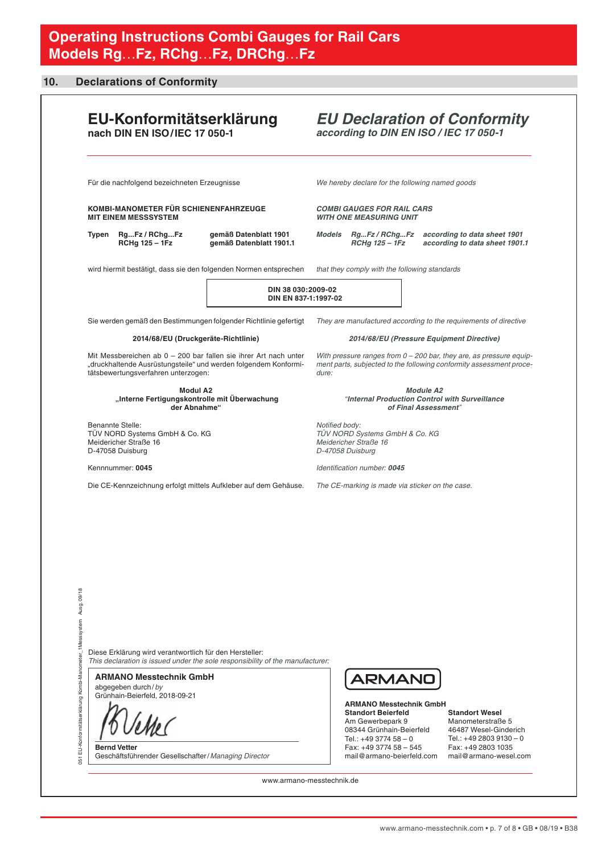#### <span id="page-6-0"></span>**10. Declarations of Conformity**